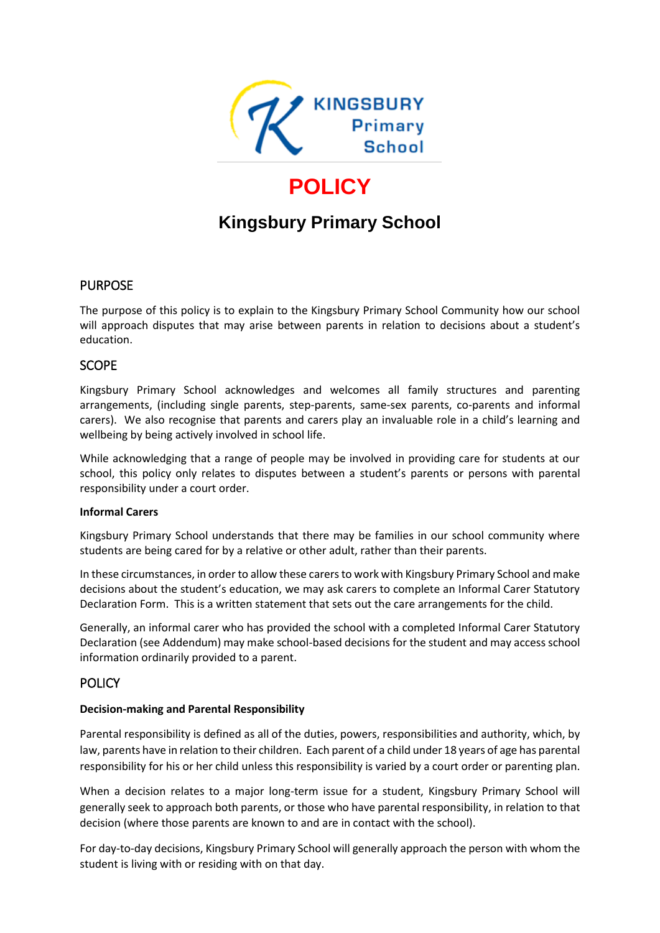

# **POLICY**

## **Kingsbury Primary School**

## **PURPOSE**

The purpose of this policy is to explain to the Kingsbury Primary School Community how our school will approach disputes that may arise between parents in relation to decisions about a student's education.

## **SCOPE**

Kingsbury Primary School acknowledges and welcomes all family structures and parenting arrangements, (including single parents, step-parents, same-sex parents, co-parents and informal carers). We also recognise that parents and carers play an invaluable role in a child's learning and wellbeing by being actively involved in school life.

While acknowledging that a range of people may be involved in providing care for students at our school, this policy only relates to disputes between a student's parents or persons with parental responsibility under a court order.

#### **Informal Carers**

Kingsbury Primary School understands that there may be families in our school community where students are being cared for by a relative or other adult, rather than their parents.

In these circumstances, in order to allow these carers to work with Kingsbury Primary School and make decisions about the student's education, we may ask carers to complete an Informal Carer Statutory Declaration Form. This is a written statement that sets out the care arrangements for the child.

Generally, an informal carer who has provided the school with a completed Informal Carer Statutory Declaration (see Addendum) may make school-based decisions for the student and may access school information ordinarily provided to a parent.

## **POLICY**

#### **Decision-making and Parental Responsibility**

Parental responsibility is defined as all of the duties, powers, responsibilities and authority, which, by law, parents have in relation to their children. Each parent of a child under 18 years of age has parental responsibility for his or her child unless this responsibility is varied by a court order or parenting plan.

When a decision relates to a major long-term issue for a student, Kingsbury Primary School will generally seek to approach both parents, or those who have parental responsibility, in relation to that decision (where those parents are known to and are in contact with the school).

For day-to-day decisions, Kingsbury Primary School will generally approach the person with whom the student is living with or residing with on that day.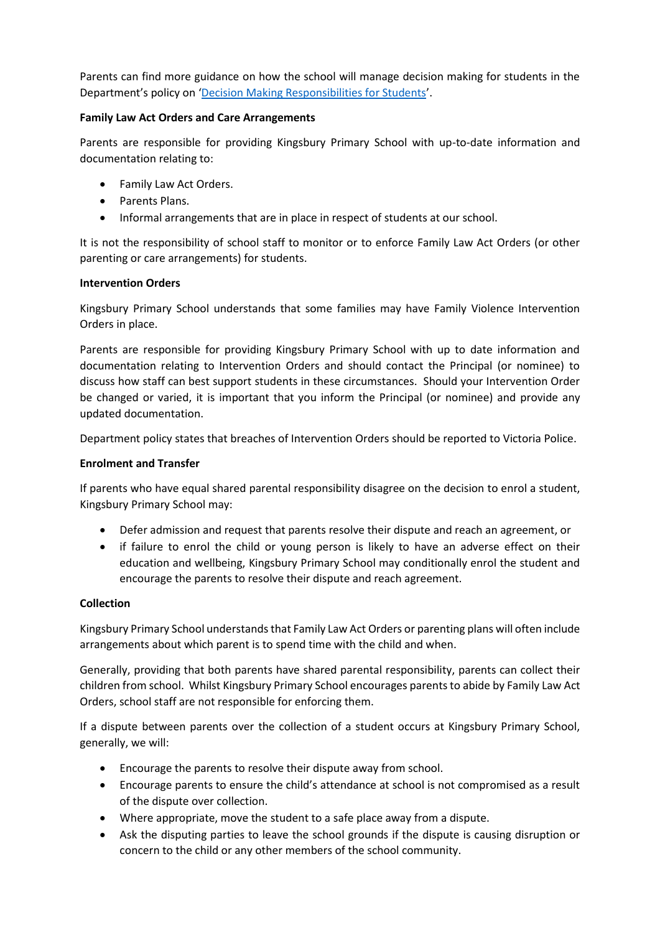Parents can find more guidance on how the school will manage decision making for students in the Department's policy on '[Decision Making Responsibilities for Students](http://www.education.vic.gov.au/school/principals/spag/safety/Pages/parentalresponsibility.aspx)'.

#### **Family Law Act Orders and Care Arrangements**

Parents are responsible for providing Kingsbury Primary School with up-to-date information and documentation relating to:

- Family Law Act Orders.
- Parents Plans.
- Informal arrangements that are in place in respect of students at our school.

It is not the responsibility of school staff to monitor or to enforce Family Law Act Orders (or other parenting or care arrangements) for students.

#### **Intervention Orders**

Kingsbury Primary School understands that some families may have Family Violence Intervention Orders in place.

Parents are responsible for providing Kingsbury Primary School with up to date information and documentation relating to Intervention Orders and should contact the Principal (or nominee) to discuss how staff can best support students in these circumstances. Should your Intervention Order be changed or varied, it is important that you inform the Principal (or nominee) and provide any updated documentation.

Department policy states that breaches of Intervention Orders should be reported to Victoria Police.

#### **Enrolment and Transfer**

If parents who have equal shared parental responsibility disagree on the decision to enrol a student, Kingsbury Primary School may:

- Defer admission and request that parents resolve their dispute and reach an agreement, or
- if failure to enrol the child or young person is likely to have an adverse effect on their education and wellbeing, Kingsbury Primary School may conditionally enrol the student and encourage the parents to resolve their dispute and reach agreement.

#### **Collection**

Kingsbury Primary School understands that Family Law Act Orders or parenting plans will often include arrangements about which parent is to spend time with the child and when.

Generally, providing that both parents have shared parental responsibility, parents can collect their children from school. Whilst Kingsbury Primary School encourages parents to abide by Family Law Act Orders, school staff are not responsible for enforcing them.

If a dispute between parents over the collection of a student occurs at Kingsbury Primary School, generally, we will:

- Encourage the parents to resolve their dispute away from school.
- Encourage parents to ensure the child's attendance at school is not compromised as a result of the dispute over collection.
- Where appropriate, move the student to a safe place away from a dispute.
- Ask the disputing parties to leave the school grounds if the dispute is causing disruption or concern to the child or any other members of the school community.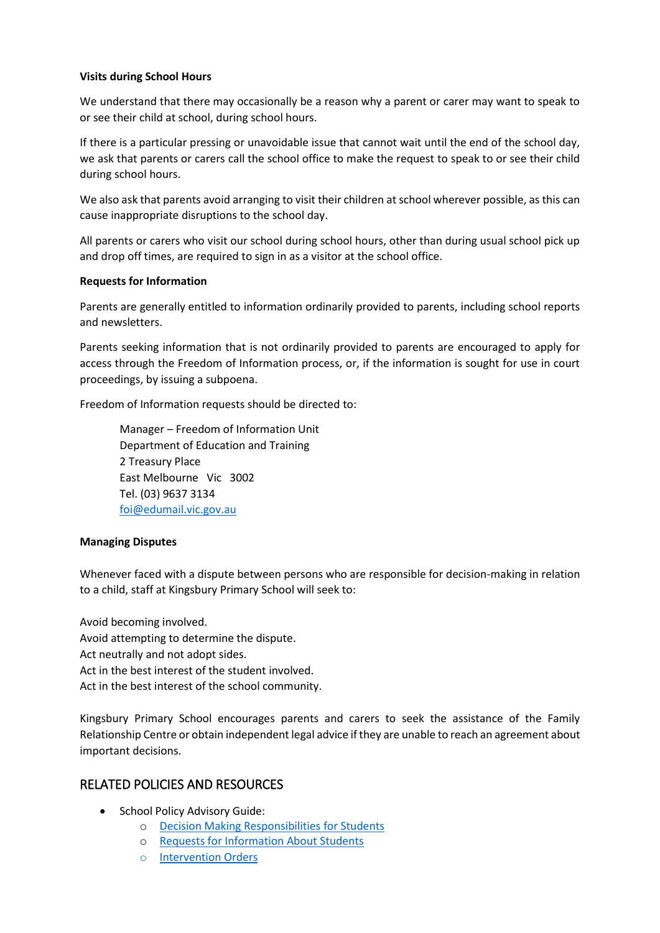#### **Visits during School Hours**

We understand that there may occasionally be a reason why a parent or carer may want to speak to or see their child at school, during school hours.

If there is a particular pressing or unavoidable issue that cannot wait until the end of the school day, we ask that parents or carers call the school office to make the request to speak to or see their child during school hours.

We also ask that parents avoid arranging to visit their children at school wherever possible, as this can cause inappropriate disruptions to the school day.

All parents or carers who visit our school during school hours, other than during usual school pick up and drop off times, are required to sign in as a visitor at the school office.

#### **Requests for Information**

Parents are generally entitled to information ordinarily provided to parents, including school reports and newsletters.

Parents seeking information that is not ordinarily provided to parents are encouraged to apply for access through the Freedom of Information process, or, if the information is sought for use in court proceedings, by issuing a subpoena.

Freedom of Information requests should be directed to:

Manager – Freedom of Information Unit Department of Education and Training 2 Treasury Place East Melbourne Vic 3002 Tel. (03) 9637 3134 [foi@edumail.vic.gov.au](mailto:foi@edumail.vic.gov.au)

#### **Managing Disputes**

Whenever faced with a dispute between persons who are responsible for decision-making in relation to a child, staff at Kingsbury Primary School will seek to:

Avoid becoming involved. Avoid attempting to determine the dispute. Act neutrally and not adopt sides. Act in the best interest of the student involved. Act in the best interest of the school community.

Kingsbury Primary School encourages parents and carers to seek the assistance of the Family Relationship Centre or obtain independent legal advice if they are unable to reach an agreement about important decisions.

## RELATED POLICIES AND RESOURCES

- School Policy Advisory Guide:
	- o [Decision Making Responsibilities for Students](http://www.education.vic.gov.au/school/principals/spag/safety/Pages/parentalresponsibility.aspx)
	- o [Requests for Information About Students](http://www.education.vic.gov.au/school/principals/spag/safety/Pages/requestinfo.aspx)
	- o [Intervention Orders](http://www.education.vic.gov.au/school/principals/spag/governance/Pages/interventionorders.aspx)